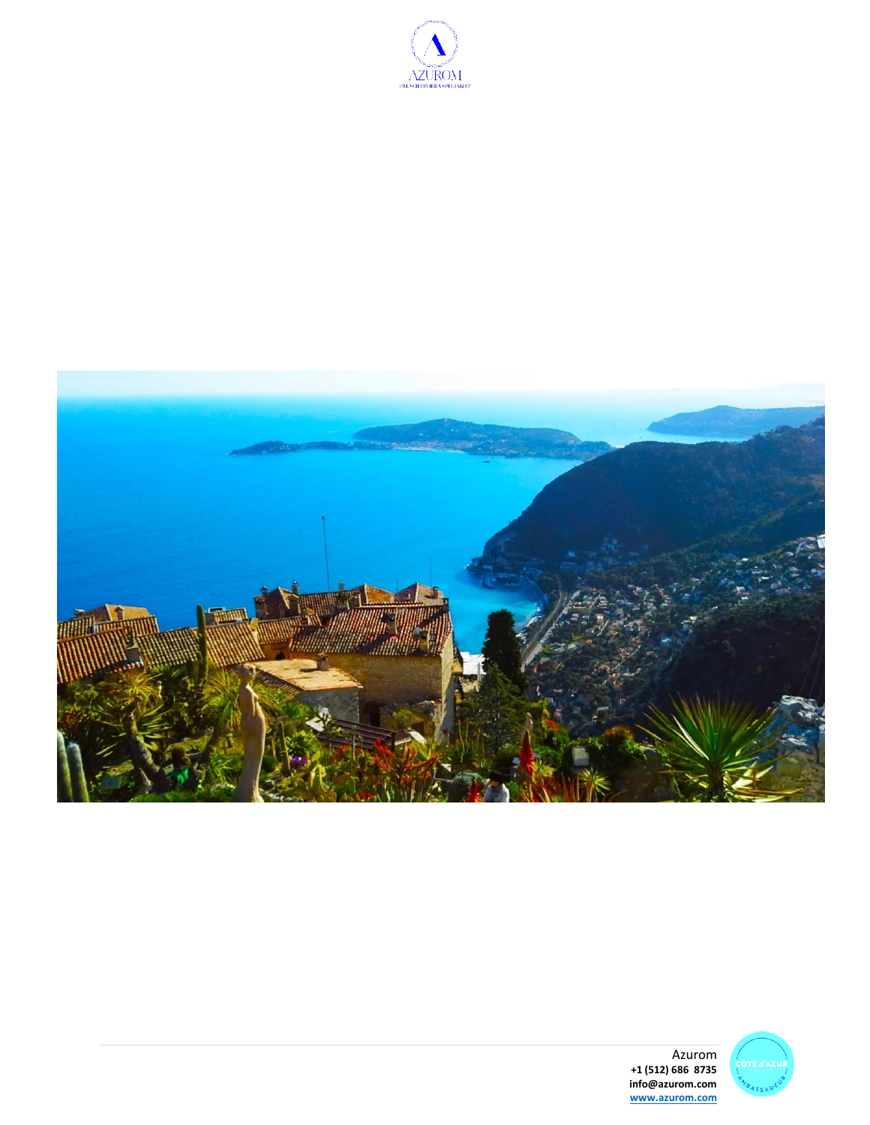



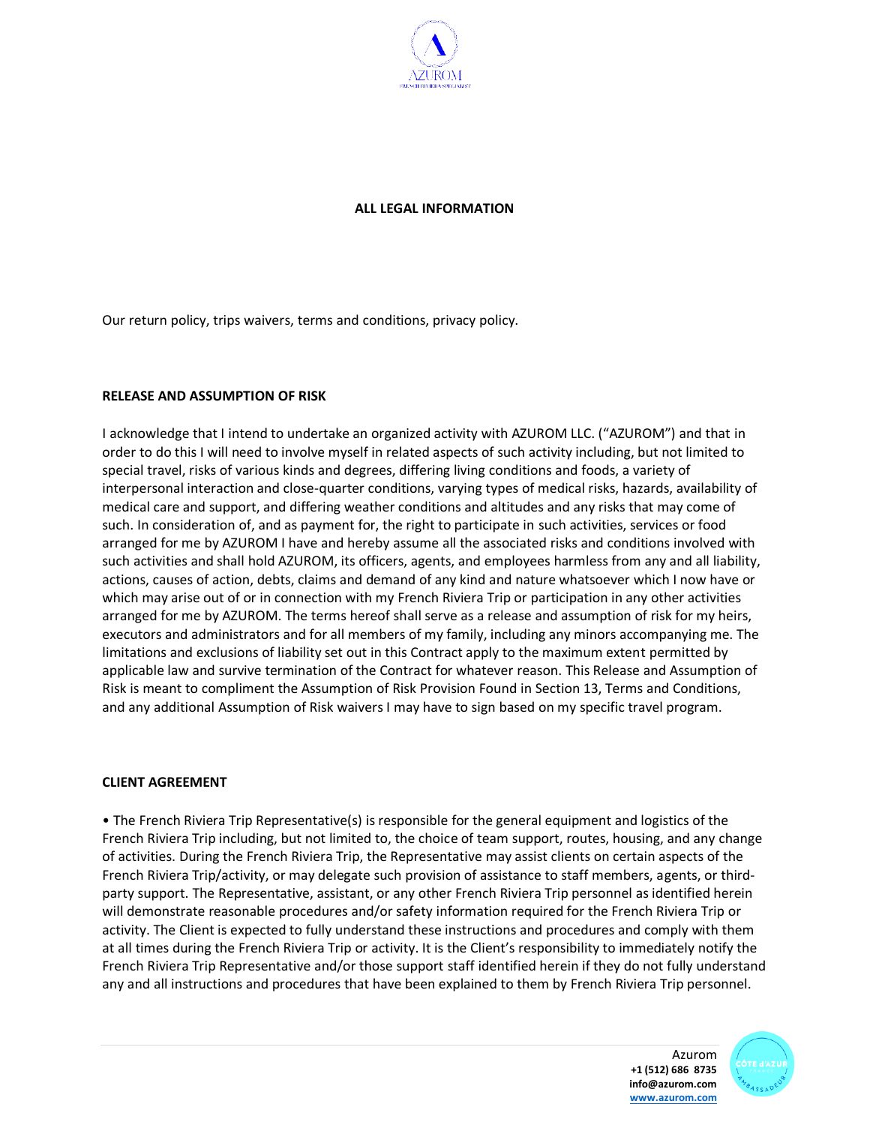

## **ALL LEGAL INFORMATION**

Our return policy, trips waivers, terms and conditions, privacy policy.

## **RELEASE AND ASSUMPTION OF RISK**

I acknowledge that I intend to undertake an organized activity with AZUROM LLC. ("AZUROM") and that in order to do this I will need to involve myself in related aspects of such activity including, but not limited to special travel, risks of various kinds and degrees, differing living conditions and foods, a variety of interpersonal interaction and close-quarter conditions, varying types of medical risks, hazards, availability of medical care and support, and differing weather conditions and altitudes and any risks that may come of such. In consideration of, and as payment for, the right to participate in such activities, services or food arranged for me by AZUROM I have and hereby assume all the associated risks and conditions involved with such activities and shall hold AZUROM, its officers, agents, and employees harmless from any and all liability, actions, causes of action, debts, claims and demand of any kind and nature whatsoever which I now have or which may arise out of or in connection with my French Riviera Trip or participation in any other activities arranged for me by AZUROM. The terms hereof shall serve as a release and assumption of risk for my heirs, executors and administrators and for all members of my family, including any minors accompanying me. The limitations and exclusions of liability set out in this Contract apply to the maximum extent permitted by applicable law and survive termination of the Contract for whatever reason. This Release and Assumption of Risk is meant to compliment the Assumption of Risk Provision Found in Section 13, Terms and Conditions, and any additional Assumption of Risk waivers I may have to sign based on my specific travel program.

#### **CLIENT AGREEMENT**

• The French Riviera Trip Representative(s) is responsible for the general equipment and logistics of the French Riviera Trip including, but not limited to, the choice of team support, routes, housing, and any change of activities. During the French Riviera Trip, the Representative may assist clients on certain aspects of the French Riviera Trip/activity, or may delegate such provision of assistance to staff members, agents, or thirdparty support. The Representative, assistant, or any other French Riviera Trip personnel as identified herein will demonstrate reasonable procedures and/or safety information required for the French Riviera Trip or activity. The Client is expected to fully understand these instructions and procedures and comply with them at all times during the French Riviera Trip or activity. It is the Client's responsibility to immediately notify the French Riviera Trip Representative and/or those support staff identified herein if they do not fully understand any and all instructions and procedures that have been explained to them by French Riviera Trip personnel.

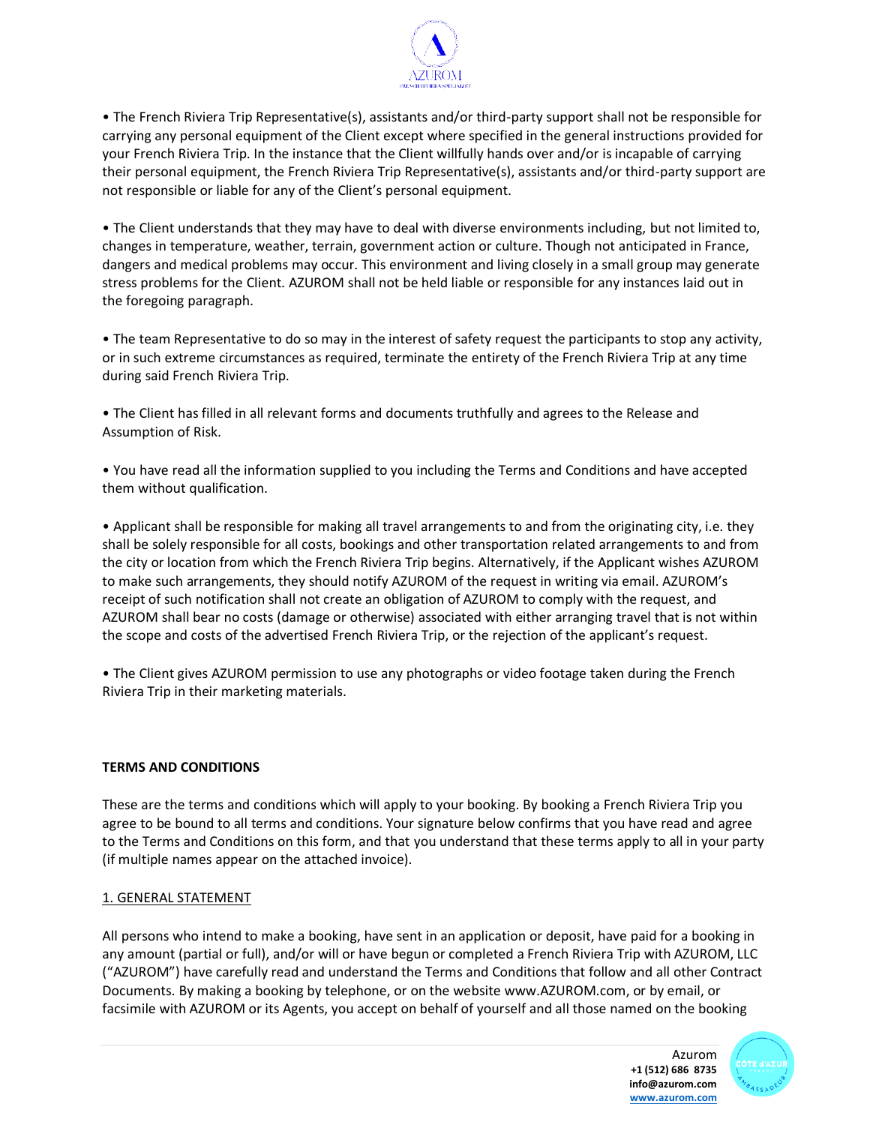

• The French Riviera Trip Representative(s), assistants and/or third-party support shall not be responsible for carrying any personal equipment of the Client except where specified in the general instructions provided for your French Riviera Trip. In the instance that the Client willfully hands over and/or is incapable of carrying their personal equipment, the French Riviera Trip Representative(s), assistants and/or third-party support are not responsible or liable for any of the Client's personal equipment.

• The Client understands that they may have to deal with diverse environments including, but not limited to, changes in temperature, weather, terrain, government action or culture. Though not anticipated in France, dangers and medical problems may occur. This environment and living closely in a small group may generate stress problems for the Client. AZUROM shall not be held liable or responsible for any instances laid out in the foregoing paragraph.

• The team Representative to do so may in the interest of safety request the participants to stop any activity, or in such extreme circumstances as required, terminate the entirety of the French Riviera Trip at any time during said French Riviera Trip.

• The Client has filled in all relevant forms and documents truthfully and agrees to the Release and Assumption of Risk.

• You have read all the information supplied to you including the Terms and Conditions and have accepted them without qualification.

• Applicant shall be responsible for making all travel arrangements to and from the originating city, i.e. they shall be solely responsible for all costs, bookings and other transportation related arrangements to and from the city or location from which the French Riviera Trip begins. Alternatively, if the Applicant wishes AZUROM to make such arrangements, they should notify AZUROM of the request in writing via email. AZUROM's receipt of such notification shall not create an obligation of AZUROM to comply with the request, and AZUROM shall bear no costs (damage or otherwise) associated with either arranging travel that is not within the scope and costs of the advertised French Riviera Trip, or the rejection of the applicant's request.

• The Client gives AZUROM permission to use any photographs or video footage taken during the French Riviera Trip in their marketing materials.

## **TERMS AND CONDITIONS**

These are the terms and conditions which will apply to your booking. By booking a French Riviera Trip you agree to be bound to all terms and conditions. Your signature below confirms that you have read and agree to the Terms and Conditions on this form, and that you understand that these terms apply to all in your party (if multiple names appear on the attached invoice).

#### 1. GENERAL STATEMENT

All persons who intend to make a booking, have sent in an application or deposit, have paid for a booking in any amount (partial or full), and/or will or have begun or completed a French Riviera Trip with AZUROM, LLC ("AZUROM") have carefully read and understand the Terms and Conditions that follow and all other Contract Documents. By making a booking by telephone, or on the website www.AZUROM.com, or by email, or facsimile with AZUROM or its Agents, you accept on behalf of yourself and all those named on the booking



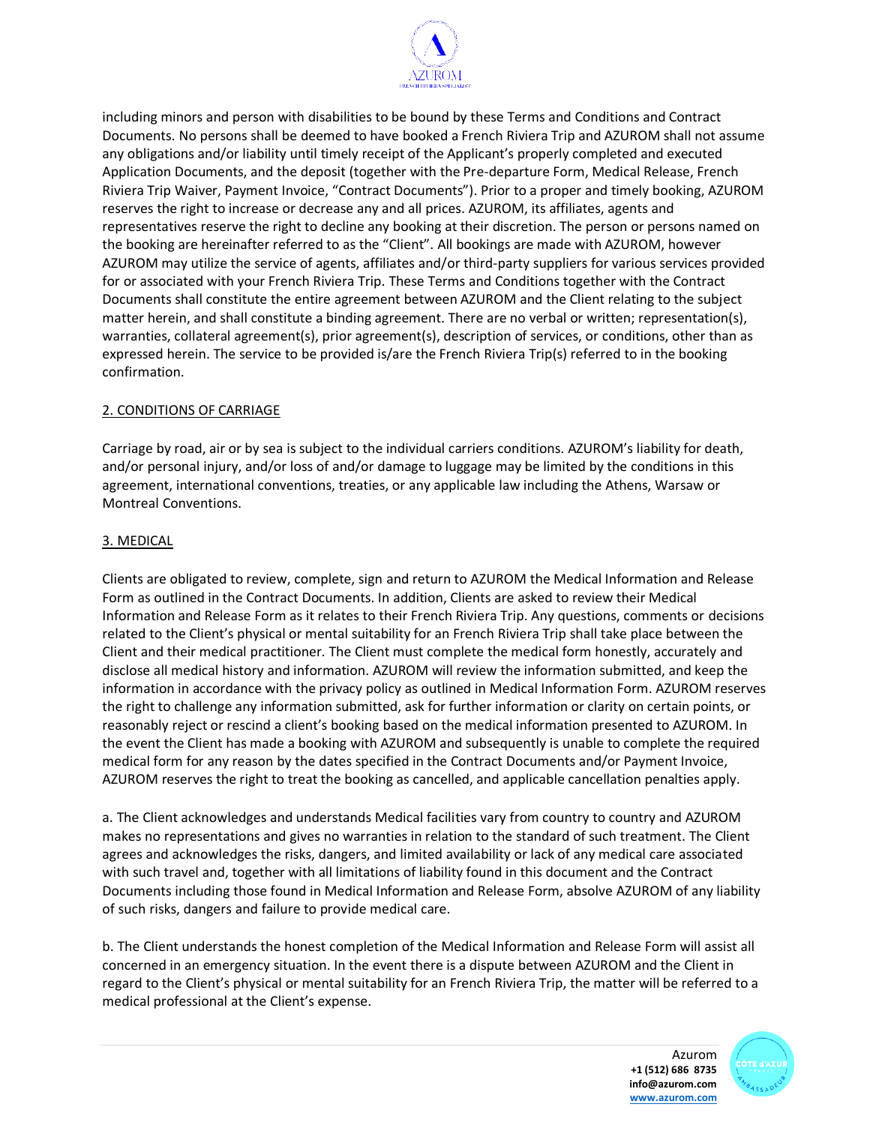

including minors and person with disabilities to be bound by these Terms and Conditions and Contract Documents. No persons shall be deemed to have booked a French Riviera Trip and AZUROM shall not assume any obligations and/or liability until timely receipt of the Applicant's properly completed and executed Application Documents, and the deposit (together with the Pre-departure Form, Medical Release, French Riviera Trip Waiver, Payment Invoice, "Contract Documents"). Prior to a proper and timely booking, AZUROM reserves the right to increase or decrease any and all prices. AZUROM, its affiliates, agents and representatives reserve the right to decline any booking at their discretion. The person or persons named on the booking are hereinafter referred to as the "Client". All bookings are made with AZUROM, however AZUROM may utilize the service of agents, affiliates and/or third-party suppliers for various services provided for or associated with your French Riviera Trip. These Terms and Conditions together with the Contract Documents shall constitute the entire agreement between AZUROM and the Client relating to the subject matter herein, and shall constitute a binding agreement. There are no verbal or written; representation(s), warranties, collateral agreement(s), prior agreement(s), description of services, or conditions, other than as expressed herein. The service to be provided is/are the French Riviera Trip(s) referred to in the booking confirmation.

## 2. CONDITIONS OF CARRIAGE

Carriage by road, air or by sea is subject to the individual carriers conditions. AZUROM's liability for death, and/or personal injury, and/or loss of and/or damage to luggage may be limited by the conditions in this agreement, international conventions, treaties, or any applicable law including the Athens, Warsaw or Montreal Conventions.

## 3. MEDICAL

Clients are obligated to review, complete, sign and return to AZUROM the Medical Information and Release Form as outlined in the Contract Documents. In addition, Clients are asked to review their Medical Information and Release Form as it relates to their French Riviera Trip. Any questions, comments or decisions related to the Client's physical or mental suitability for an French Riviera Trip shall take place between the Client and their medical practitioner. The Client must complete the medical form honestly, accurately and disclose all medical history and information. AZUROM will review the information submitted, and keep the information in accordance with the privacy policy as outlined in Medical Information Form. AZUROM reserves the right to challenge any information submitted, ask for further information or clarity on certain points, or reasonably reject or rescind a client's booking based on the medical information presented to AZUROM. In the event the Client has made a booking with AZUROM and subsequently is unable to complete the required medical form for any reason by the dates specified in the Contract Documents and/or Payment Invoice, AZUROM reserves the right to treat the booking as cancelled, and applicable cancellation penalties apply.

a. The Client acknowledges and understands Medical facilities vary from country to country and AZUROM makes no representations and gives no warranties in relation to the standard of such treatment. The Client agrees and acknowledges the risks, dangers, and limited availability or lack of any medical care associated with such travel and, together with all limitations of liability found in this document and the Contract Documents including those found in Medical Information and Release Form, absolve AZUROM of any liability of such risks, dangers and failure to provide medical care.

b. The Client understands the honest completion of the Medical Information and Release Form will assist all concerned in an emergency situation. In the event there is a dispute between AZUROM and the Client in regard to the Client's physical or mental suitability for an French Riviera Trip, the matter will be referred to a medical professional at the Client's expense.

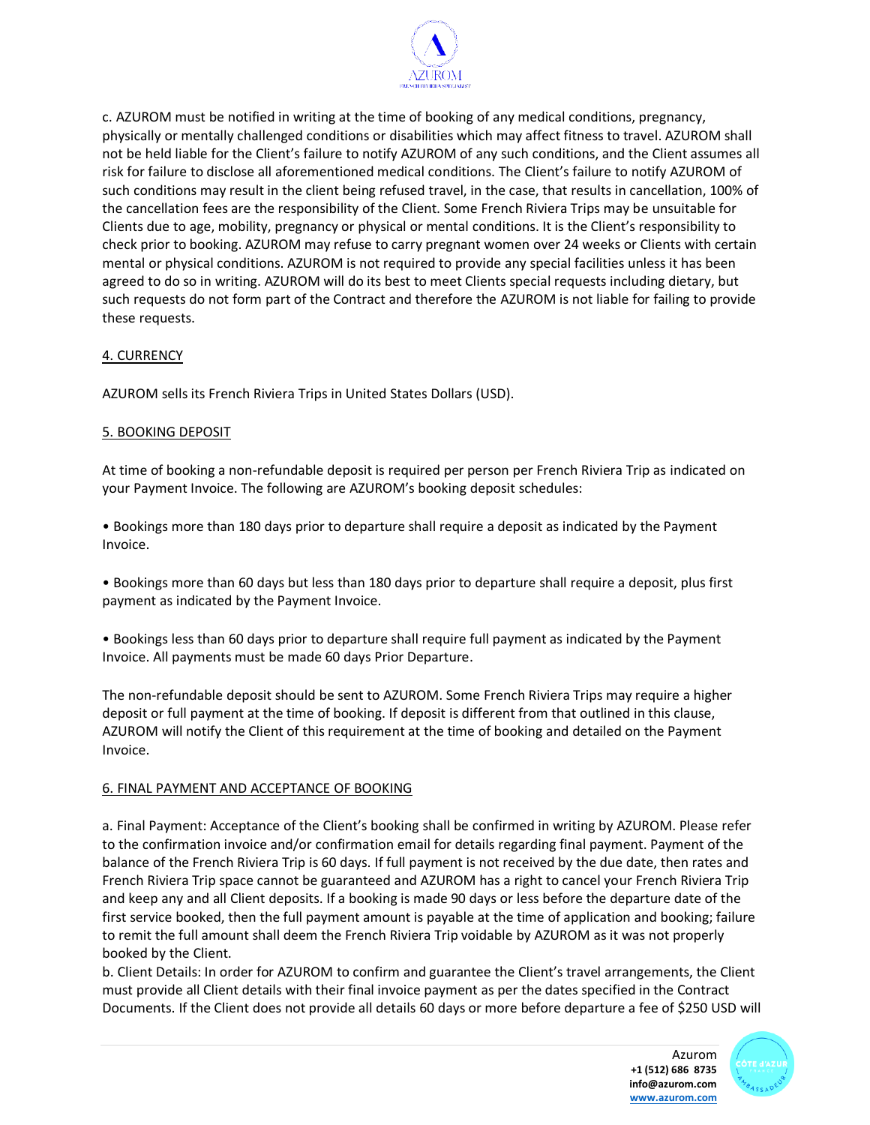

c. AZUROM must be notified in writing at the time of booking of any medical conditions, pregnancy, physically or mentally challenged conditions or disabilities which may affect fitness to travel. AZUROM shall not be held liable for the Client's failure to notify AZUROM of any such conditions, and the Client assumes all risk for failure to disclose all aforementioned medical conditions. The Client's failure to notify AZUROM of such conditions may result in the client being refused travel, in the case, that results in cancellation, 100% of the cancellation fees are the responsibility of the Client. Some French Riviera Trips may be unsuitable for Clients due to age, mobility, pregnancy or physical or mental conditions. It is the Client's responsibility to check prior to booking. AZUROM may refuse to carry pregnant women over 24 weeks or Clients with certain mental or physical conditions. AZUROM is not required to provide any special facilities unless it has been agreed to do so in writing. AZUROM will do its best to meet Clients special requests including dietary, but such requests do not form part of the Contract and therefore the AZUROM is not liable for failing to provide these requests.

## 4. CURRENCY

AZUROM sells its French Riviera Trips in United States Dollars (USD).

## 5. BOOKING DEPOSIT

At time of booking a non-refundable deposit is required per person per French Riviera Trip as indicated on your Payment Invoice. The following are AZUROM's booking deposit schedules:

• Bookings more than 180 days prior to departure shall require a deposit as indicated by the Payment Invoice.

• Bookings more than 60 days but less than 180 days prior to departure shall require a deposit, plus first payment as indicated by the Payment Invoice.

• Bookings less than 60 days prior to departure shall require full payment as indicated by the Payment Invoice. All payments must be made 60 days Prior Departure.

The non-refundable deposit should be sent to AZUROM. Some French Riviera Trips may require a higher deposit or full payment at the time of booking. If deposit is different from that outlined in this clause, AZUROM will notify the Client of this requirement at the time of booking and detailed on the Payment Invoice.

#### 6. FINAL PAYMENT AND ACCEPTANCE OF BOOKING

a. Final Payment: Acceptance of the Client's booking shall be confirmed in writing by AZUROM. Please refer to the confirmation invoice and/or confirmation email for details regarding final payment. Payment of the balance of the French Riviera Trip is 60 days. If full payment is not received by the due date, then rates and French Riviera Trip space cannot be guaranteed and AZUROM has a right to cancel your French Riviera Trip and keep any and all Client deposits. If a booking is made 90 days or less before the departure date of the first service booked, then the full payment amount is payable at the time of application and booking; failure to remit the full amount shall deem the French Riviera Trip voidable by AZUROM as it was not properly booked by the Client.

b. Client Details: In order for AZUROM to confirm and guarantee the Client's travel arrangements, the Client must provide all Client details with their final invoice payment as per the dates specified in the Contract Documents. If the Client does not provide all details 60 days or more before departure a fee of \$250 USD will

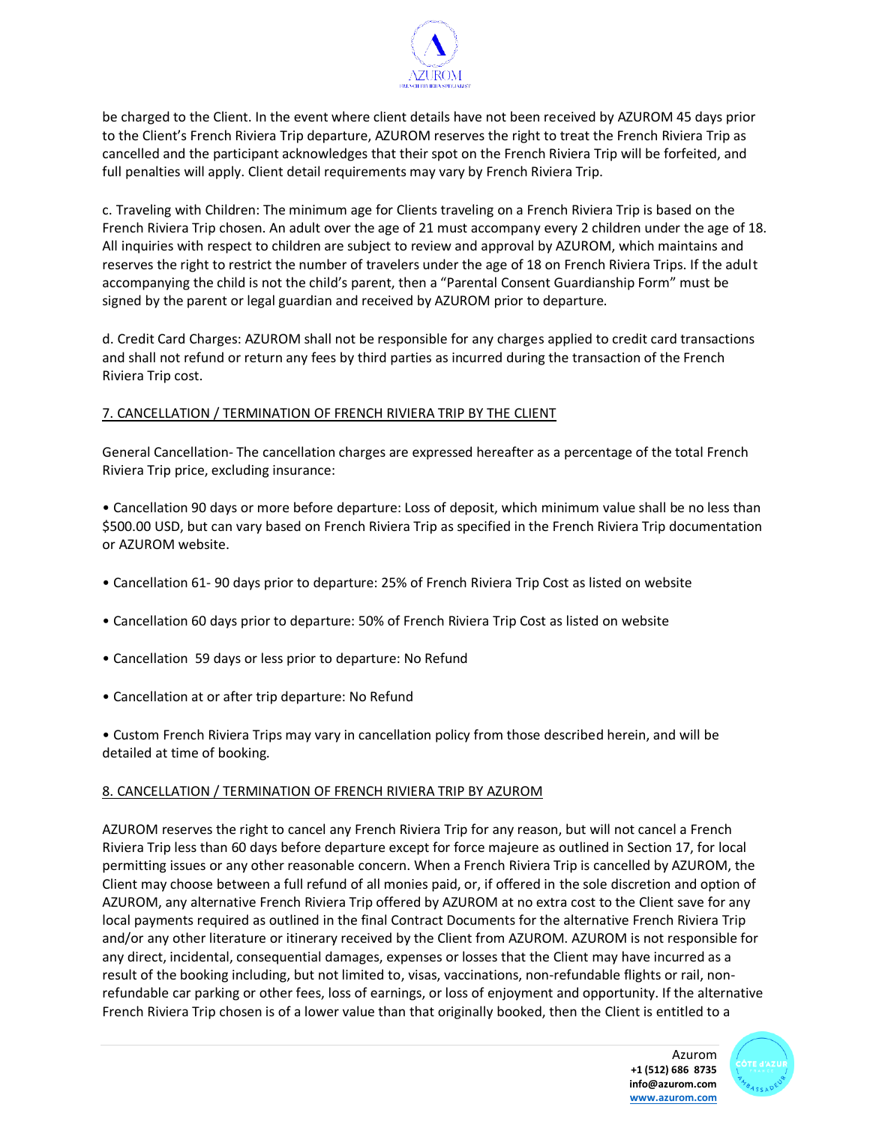

be charged to the Client. In the event where client details have not been received by AZUROM 45 days prior to the Client's French Riviera Trip departure, AZUROM reserves the right to treat the French Riviera Trip as cancelled and the participant acknowledges that their spot on the French Riviera Trip will be forfeited, and full penalties will apply. Client detail requirements may vary by French Riviera Trip.

c. Traveling with Children: The minimum age for Clients traveling on a French Riviera Trip is based on the French Riviera Trip chosen. An adult over the age of 21 must accompany every 2 children under the age of 18. All inquiries with respect to children are subject to review and approval by AZUROM, which maintains and reserves the right to restrict the number of travelers under the age of 18 on French Riviera Trips. If the adult accompanying the child is not the child's parent, then a "Parental Consent Guardianship Form" must be signed by the parent or legal guardian and received by AZUROM prior to departure.

d. Credit Card Charges: AZUROM shall not be responsible for any charges applied to credit card transactions and shall not refund or return any fees by third parties as incurred during the transaction of the French Riviera Trip cost.

## 7. CANCELLATION / TERMINATION OF FRENCH RIVIERA TRIP BY THE CLIENT

General Cancellation- The cancellation charges are expressed hereafter as a percentage of the total French Riviera Trip price, excluding insurance:

• Cancellation 90 days or more before departure: Loss of deposit, which minimum value shall be no less than \$500.00 USD, but can vary based on French Riviera Trip as specified in the French Riviera Trip documentation or AZUROM website.

- Cancellation 61- 90 days prior to departure: 25% of French Riviera Trip Cost as listed on website
- Cancellation 60 days prior to departure: 50% of French Riviera Trip Cost as listed on website
- Cancellation 59 days or less prior to departure: No Refund
- Cancellation at or after trip departure: No Refund

• Custom French Riviera Trips may vary in cancellation policy from those described herein, and will be detailed at time of booking.

#### 8. CANCELLATION / TERMINATION OF FRENCH RIVIERA TRIP BY AZUROM

AZUROM reserves the right to cancel any French Riviera Trip for any reason, but will not cancel a French Riviera Trip less than 60 days before departure except for force majeure as outlined in Section 17, for local permitting issues or any other reasonable concern. When a French Riviera Trip is cancelled by AZUROM, the Client may choose between a full refund of all monies paid, or, if offered in the sole discretion and option of AZUROM, any alternative French Riviera Trip offered by AZUROM at no extra cost to the Client save for any local payments required as outlined in the final Contract Documents for the alternative French Riviera Trip and/or any other literature or itinerary received by the Client from AZUROM. AZUROM is not responsible for any direct, incidental, consequential damages, expenses or losses that the Client may have incurred as a result of the booking including, but not limited to, visas, vaccinations, non-refundable flights or rail, nonrefundable car parking or other fees, loss of earnings, or loss of enjoyment and opportunity. If the alternative French Riviera Trip chosen is of a lower value than that originally booked, then the Client is entitled to a

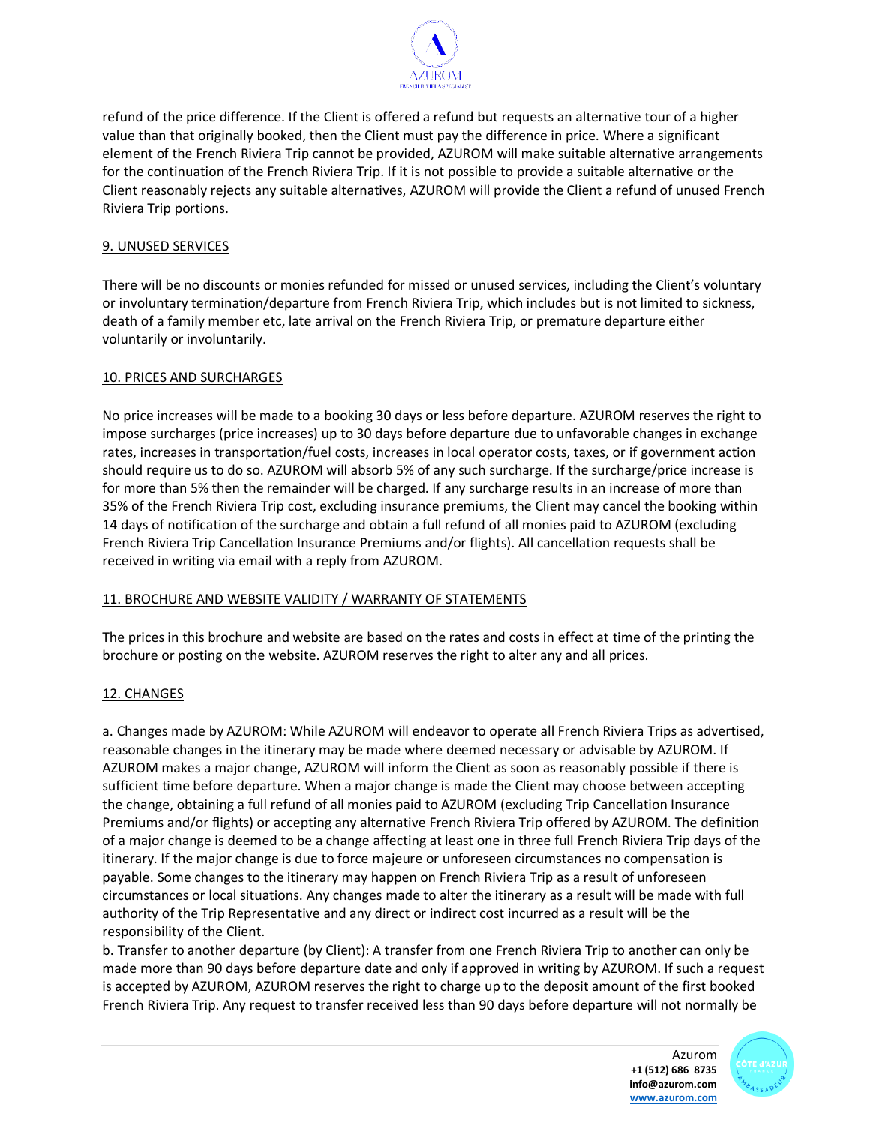

refund of the price difference. If the Client is offered a refund but requests an alternative tour of a higher value than that originally booked, then the Client must pay the difference in price. Where a significant element of the French Riviera Trip cannot be provided, AZUROM will make suitable alternative arrangements for the continuation of the French Riviera Trip. If it is not possible to provide a suitable alternative or the Client reasonably rejects any suitable alternatives, AZUROM will provide the Client a refund of unused French Riviera Trip portions.

## 9. UNUSED SERVICES

There will be no discounts or monies refunded for missed or unused services, including the Client's voluntary or involuntary termination/departure from French Riviera Trip, which includes but is not limited to sickness, death of a family member etc, late arrival on the French Riviera Trip, or premature departure either voluntarily or involuntarily.

#### 10. PRICES AND SURCHARGES

No price increases will be made to a booking 30 days or less before departure. AZUROM reserves the right to impose surcharges (price increases) up to 30 days before departure due to unfavorable changes in exchange rates, increases in transportation/fuel costs, increases in local operator costs, taxes, or if government action should require us to do so. AZUROM will absorb 5% of any such surcharge. If the surcharge/price increase is for more than 5% then the remainder will be charged. If any surcharge results in an increase of more than 35% of the French Riviera Trip cost, excluding insurance premiums, the Client may cancel the booking within 14 days of notification of the surcharge and obtain a full refund of all monies paid to AZUROM (excluding French Riviera Trip Cancellation Insurance Premiums and/or flights). All cancellation requests shall be received in writing via email with a reply from AZUROM.

#### 11. BROCHURE AND WEBSITE VALIDITY / WARRANTY OF STATEMENTS

The prices in this brochure and website are based on the rates and costs in effect at time of the printing the brochure or posting on the website. AZUROM reserves the right to alter any and all prices.

## 12. CHANGES

a. Changes made by AZUROM: While AZUROM will endeavor to operate all French Riviera Trips as advertised, reasonable changes in the itinerary may be made where deemed necessary or advisable by AZUROM. If AZUROM makes a major change, AZUROM will inform the Client as soon as reasonably possible if there is sufficient time before departure. When a major change is made the Client may choose between accepting the change, obtaining a full refund of all monies paid to AZUROM (excluding Trip Cancellation Insurance Premiums and/or flights) or accepting any alternative French Riviera Trip offered by AZUROM. The definition of a major change is deemed to be a change affecting at least one in three full French Riviera Trip days of the itinerary. If the major change is due to force majeure or unforeseen circumstances no compensation is payable. Some changes to the itinerary may happen on French Riviera Trip as a result of unforeseen circumstances or local situations. Any changes made to alter the itinerary as a result will be made with full authority of the Trip Representative and any direct or indirect cost incurred as a result will be the responsibility of the Client.

b. Transfer to another departure (by Client): A transfer from one French Riviera Trip to another can only be made more than 90 days before departure date and only if approved in writing by AZUROM. If such a request is accepted by AZUROM, AZUROM reserves the right to charge up to the deposit amount of the first booked French Riviera Trip. Any request to transfer received less than 90 days before departure will not normally be

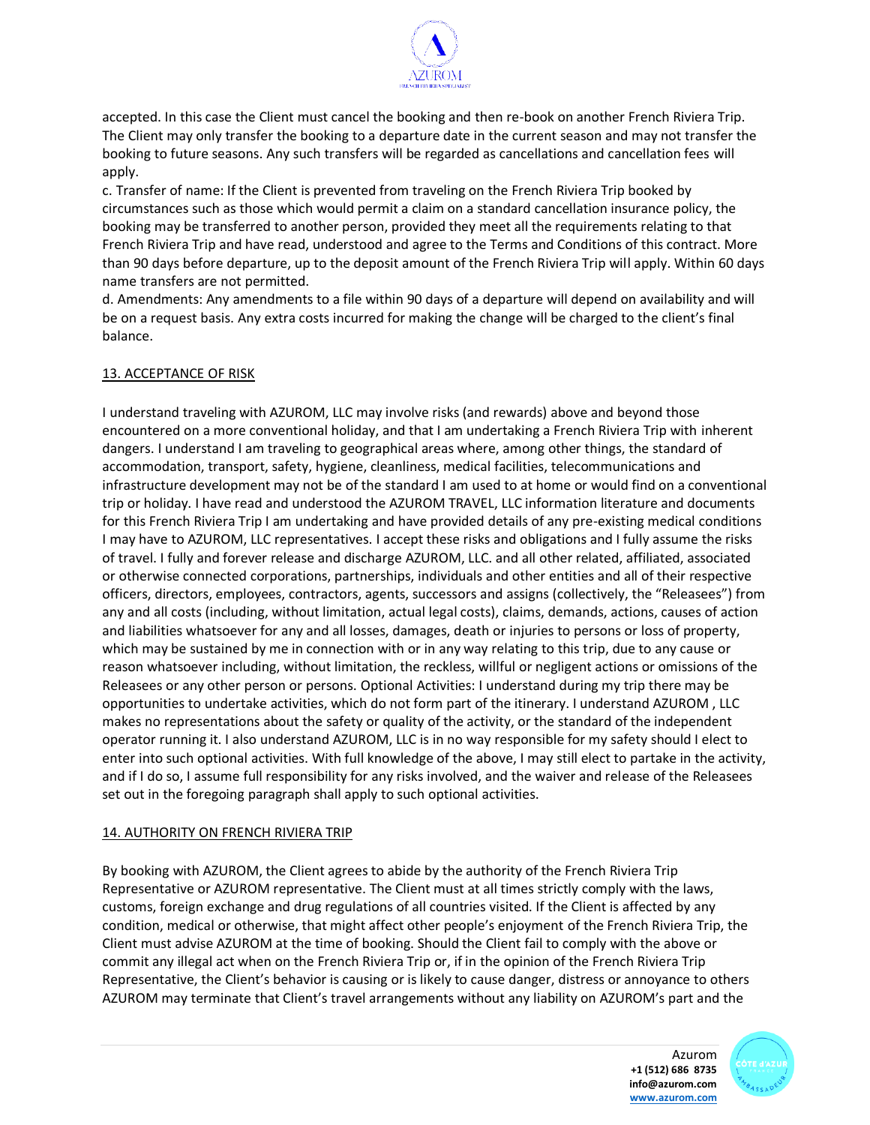

accepted. In this case the Client must cancel the booking and then re-book on another French Riviera Trip. The Client may only transfer the booking to a departure date in the current season and may not transfer the booking to future seasons. Any such transfers will be regarded as cancellations and cancellation fees will apply.

c. Transfer of name: If the Client is prevented from traveling on the French Riviera Trip booked by circumstances such as those which would permit a claim on a standard cancellation insurance policy, the booking may be transferred to another person, provided they meet all the requirements relating to that French Riviera Trip and have read, understood and agree to the Terms and Conditions of this contract. More than 90 days before departure, up to the deposit amount of the French Riviera Trip will apply. Within 60 days name transfers are not permitted.

d. Amendments: Any amendments to a file within 90 days of a departure will depend on availability and will be on a request basis. Any extra costs incurred for making the change will be charged to the client's final balance.

## 13. ACCEPTANCE OF RISK

I understand traveling with AZUROM, LLC may involve risks (and rewards) above and beyond those encountered on a more conventional holiday, and that I am undertaking a French Riviera Trip with inherent dangers. I understand I am traveling to geographical areas where, among other things, the standard of accommodation, transport, safety, hygiene, cleanliness, medical facilities, telecommunications and infrastructure development may not be of the standard I am used to at home or would find on a conventional trip or holiday. I have read and understood the AZUROM TRAVEL, LLC information literature and documents for this French Riviera Trip I am undertaking and have provided details of any pre-existing medical conditions I may have to AZUROM, LLC representatives. I accept these risks and obligations and I fully assume the risks of travel. I fully and forever release and discharge AZUROM, LLC. and all other related, affiliated, associated or otherwise connected corporations, partnerships, individuals and other entities and all of their respective officers, directors, employees, contractors, agents, successors and assigns (collectively, the "Releasees") from any and all costs (including, without limitation, actual legal costs), claims, demands, actions, causes of action and liabilities whatsoever for any and all losses, damages, death or injuries to persons or loss of property, which may be sustained by me in connection with or in any way relating to this trip, due to any cause or reason whatsoever including, without limitation, the reckless, willful or negligent actions or omissions of the Releasees or any other person or persons. Optional Activities: I understand during my trip there may be opportunities to undertake activities, which do not form part of the itinerary. I understand AZUROM , LLC makes no representations about the safety or quality of the activity, or the standard of the independent operator running it. I also understand AZUROM, LLC is in no way responsible for my safety should I elect to enter into such optional activities. With full knowledge of the above, I may still elect to partake in the activity, and if I do so, I assume full responsibility for any risks involved, and the waiver and release of the Releasees set out in the foregoing paragraph shall apply to such optional activities.

#### 14. AUTHORITY ON FRENCH RIVIERA TRIP

By booking with AZUROM, the Client agrees to abide by the authority of the French Riviera Trip Representative or AZUROM representative. The Client must at all times strictly comply with the laws, customs, foreign exchange and drug regulations of all countries visited. If the Client is affected by any condition, medical or otherwise, that might affect other people's enjoyment of the French Riviera Trip, the Client must advise AZUROM at the time of booking. Should the Client fail to comply with the above or commit any illegal act when on the French Riviera Trip or, if in the opinion of the French Riviera Trip Representative, the Client's behavior is causing or is likely to cause danger, distress or annoyance to others AZUROM may terminate that Client's travel arrangements without any liability on AZUROM's part and the

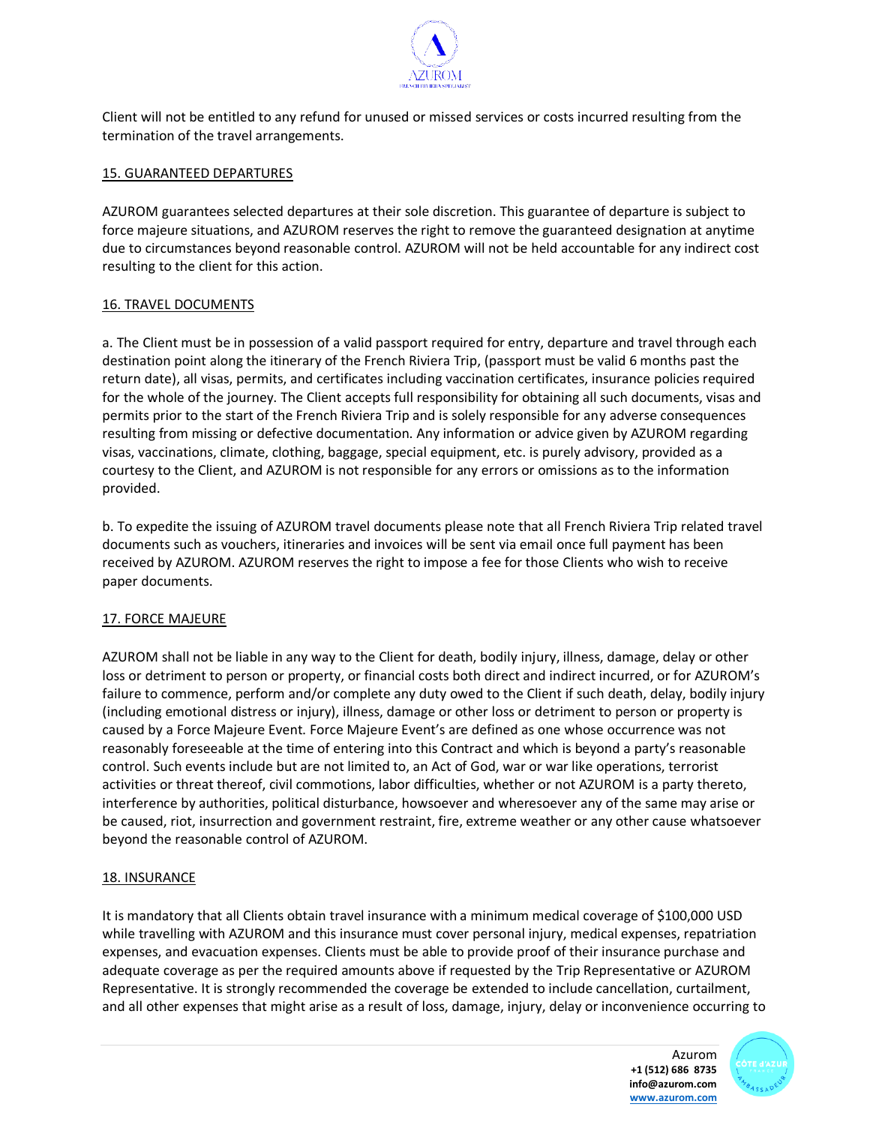

Client will not be entitled to any refund for unused or missed services or costs incurred resulting from the termination of the travel arrangements.

#### 15. GUARANTEED DEPARTURES

AZUROM guarantees selected departures at their sole discretion. This guarantee of departure is subject to force majeure situations, and AZUROM reserves the right to remove the guaranteed designation at anytime due to circumstances beyond reasonable control. AZUROM will not be held accountable for any indirect cost resulting to the client for this action.

## 16. TRAVEL DOCUMENTS

a. The Client must be in possession of a valid passport required for entry, departure and travel through each destination point along the itinerary of the French Riviera Trip, (passport must be valid 6 months past the return date), all visas, permits, and certificates including vaccination certificates, insurance policies required for the whole of the journey. The Client accepts full responsibility for obtaining all such documents, visas and permits prior to the start of the French Riviera Trip and is solely responsible for any adverse consequences resulting from missing or defective documentation. Any information or advice given by AZUROM regarding visas, vaccinations, climate, clothing, baggage, special equipment, etc. is purely advisory, provided as a courtesy to the Client, and AZUROM is not responsible for any errors or omissions as to the information provided.

b. To expedite the issuing of AZUROM travel documents please note that all French Riviera Trip related travel documents such as vouchers, itineraries and invoices will be sent via email once full payment has been received by AZUROM. AZUROM reserves the right to impose a fee for those Clients who wish to receive paper documents.

#### 17. FORCE MAJEURE

AZUROM shall not be liable in any way to the Client for death, bodily injury, illness, damage, delay or other loss or detriment to person or property, or financial costs both direct and indirect incurred, or for AZUROM's failure to commence, perform and/or complete any duty owed to the Client if such death, delay, bodily injury (including emotional distress or injury), illness, damage or other loss or detriment to person or property is caused by a Force Majeure Event. Force Majeure Event's are defined as one whose occurrence was not reasonably foreseeable at the time of entering into this Contract and which is beyond a party's reasonable control. Such events include but are not limited to, an Act of God, war or war like operations, terrorist activities or threat thereof, civil commotions, labor difficulties, whether or not AZUROM is a party thereto, interference by authorities, political disturbance, howsoever and wheresoever any of the same may arise or be caused, riot, insurrection and government restraint, fire, extreme weather or any other cause whatsoever beyond the reasonable control of AZUROM.

## 18. INSURANCE

It is mandatory that all Clients obtain travel insurance with a minimum medical coverage of \$100,000 USD while travelling with AZUROM and this insurance must cover personal injury, medical expenses, repatriation expenses, and evacuation expenses. Clients must be able to provide proof of their insurance purchase and adequate coverage as per the required amounts above if requested by the Trip Representative or AZUROM Representative. It is strongly recommended the coverage be extended to include cancellation, curtailment, and all other expenses that might arise as a result of loss, damage, injury, delay or inconvenience occurring to

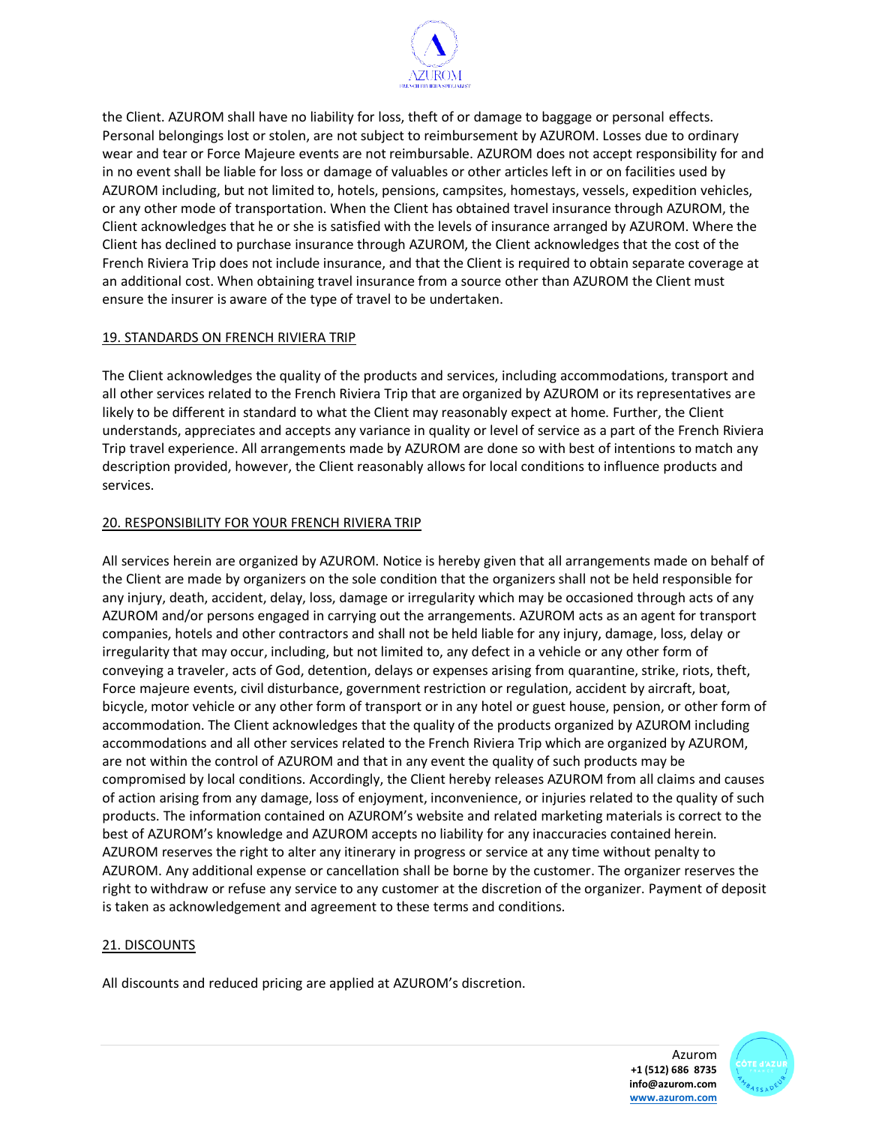

the Client. AZUROM shall have no liability for loss, theft of or damage to baggage or personal effects. Personal belongings lost or stolen, are not subject to reimbursement by AZUROM. Losses due to ordinary wear and tear or Force Majeure events are not reimbursable. AZUROM does not accept responsibility for and in no event shall be liable for loss or damage of valuables or other articles left in or on facilities used by AZUROM including, but not limited to, hotels, pensions, campsites, homestays, vessels, expedition vehicles, or any other mode of transportation. When the Client has obtained travel insurance through AZUROM, the Client acknowledges that he or she is satisfied with the levels of insurance arranged by AZUROM. Where the Client has declined to purchase insurance through AZUROM, the Client acknowledges that the cost of the French Riviera Trip does not include insurance, and that the Client is required to obtain separate coverage at an additional cost. When obtaining travel insurance from a source other than AZUROM the Client must ensure the insurer is aware of the type of travel to be undertaken.

## 19. STANDARDS ON FRENCH RIVIERA TRIP

The Client acknowledges the quality of the products and services, including accommodations, transport and all other services related to the French Riviera Trip that are organized by AZUROM or its representatives are likely to be different in standard to what the Client may reasonably expect at home. Further, the Client understands, appreciates and accepts any variance in quality or level of service as a part of the French Riviera Trip travel experience. All arrangements made by AZUROM are done so with best of intentions to match any description provided, however, the Client reasonably allows for local conditions to influence products and services.

## 20. RESPONSIBILITY FOR YOUR FRENCH RIVIERA TRIP

All services herein are organized by AZUROM. Notice is hereby given that all arrangements made on behalf of the Client are made by organizers on the sole condition that the organizers shall not be held responsible for any injury, death, accident, delay, loss, damage or irregularity which may be occasioned through acts of any AZUROM and/or persons engaged in carrying out the arrangements. AZUROM acts as an agent for transport companies, hotels and other contractors and shall not be held liable for any injury, damage, loss, delay or irregularity that may occur, including, but not limited to, any defect in a vehicle or any other form of conveying a traveler, acts of God, detention, delays or expenses arising from quarantine, strike, riots, theft, Force majeure events, civil disturbance, government restriction or regulation, accident by aircraft, boat, bicycle, motor vehicle or any other form of transport or in any hotel or guest house, pension, or other form of accommodation. The Client acknowledges that the quality of the products organized by AZUROM including accommodations and all other services related to the French Riviera Trip which are organized by AZUROM, are not within the control of AZUROM and that in any event the quality of such products may be compromised by local conditions. Accordingly, the Client hereby releases AZUROM from all claims and causes of action arising from any damage, loss of enjoyment, inconvenience, or injuries related to the quality of such products. The information contained on AZUROM's website and related marketing materials is correct to the best of AZUROM's knowledge and AZUROM accepts no liability for any inaccuracies contained herein. AZUROM reserves the right to alter any itinerary in progress or service at any time without penalty to AZUROM. Any additional expense or cancellation shall be borne by the customer. The organizer reserves the right to withdraw or refuse any service to any customer at the discretion of the organizer. Payment of deposit is taken as acknowledgement and agreement to these terms and conditions.

## 21. DISCOUNTS

All discounts and reduced pricing are applied at AZUROM's discretion.

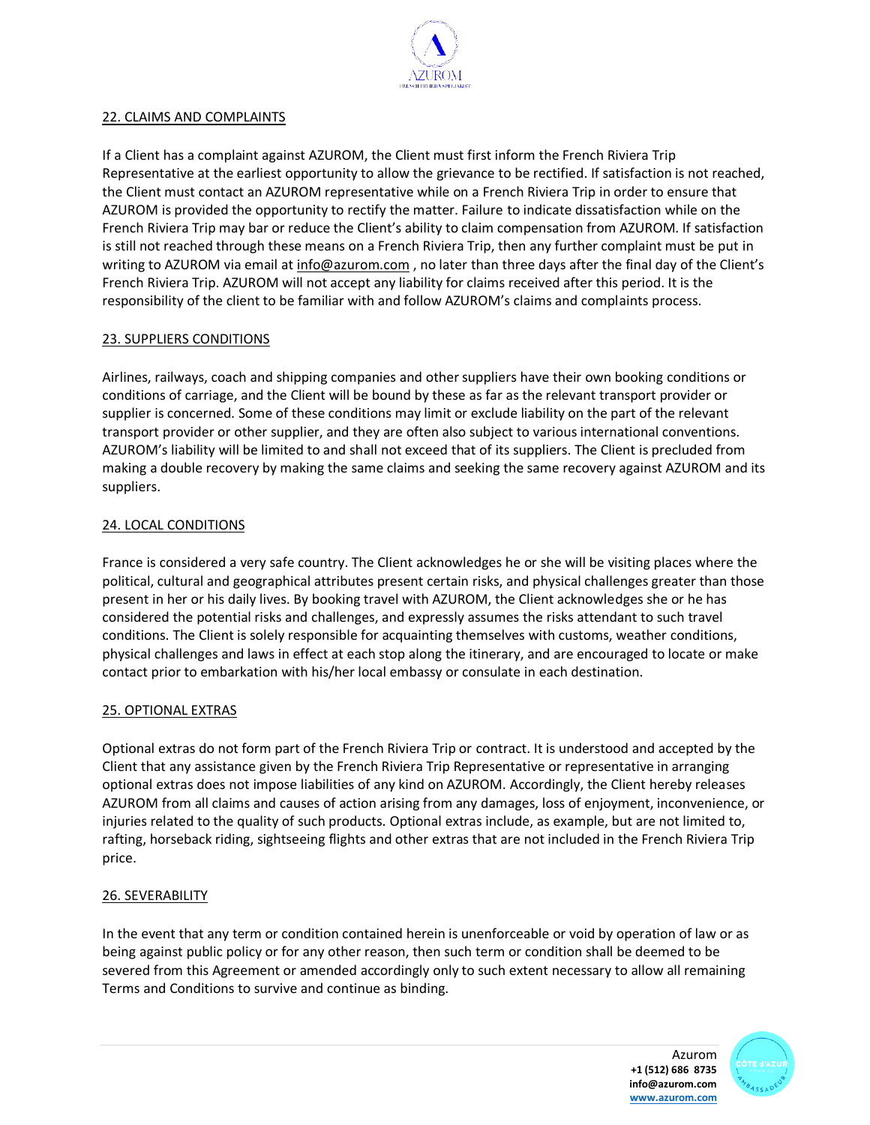

## 22. CLAIMS AND COMPLAINTS

If a Client has a complaint against AZUROM, the Client must first inform the French Riviera Trip Representative at the earliest opportunity to allow the grievance to be rectified. If satisfaction is not reached, the Client must contact an AZUROM representative while on a French Riviera Trip in order to ensure that AZUROM is provided the opportunity to rectify the matter. Failure to indicate dissatisfaction while on the French Riviera Trip may bar or reduce the Client's ability to claim compensation from AZUROM. If satisfaction is still not reached through these means on a French Riviera Trip, then any further complaint must be put in writing to AZUROM via email at info@azurom.com, no later than three days after the final day of the Client's French Riviera Trip. AZUROM will not accept any liability for claims received after this period. It is the responsibility of the client to be familiar with and follow AZUROM's claims and complaints process.

## 23. SUPPLIERS CONDITIONS

Airlines, railways, coach and shipping companies and other suppliers have their own booking conditions or conditions of carriage, and the Client will be bound by these as far as the relevant transport provider or supplier is concerned. Some of these conditions may limit or exclude liability on the part of the relevant transport provider or other supplier, and they are often also subject to various international conventions. AZUROM's liability will be limited to and shall not exceed that of its suppliers. The Client is precluded from making a double recovery by making the same claims and seeking the same recovery against AZUROM and its suppliers.

## 24. LOCAL CONDITIONS

France is considered a very safe country. The Client acknowledges he or she will be visiting places where the political, cultural and geographical attributes present certain risks, and physical challenges greater than those present in her or his daily lives. By booking travel with AZUROM, the Client acknowledges she or he has considered the potential risks and challenges, and expressly assumes the risks attendant to such travel conditions. The Client is solely responsible for acquainting themselves with customs, weather conditions, physical challenges and laws in effect at each stop along the itinerary, and are encouraged to locate or make contact prior to embarkation with his/her local embassy or consulate in each destination.

## 25. OPTIONAL EXTRAS

Optional extras do not form part of the French Riviera Trip or contract. It is understood and accepted by the Client that any assistance given by the French Riviera Trip Representative or representative in arranging optional extras does not impose liabilities of any kind on AZUROM. Accordingly, the Client hereby releases AZUROM from all claims and causes of action arising from any damages, loss of enjoyment, inconvenience, or injuries related to the quality of such products. Optional extras include, as example, but are not limited to, rafting, horseback riding, sightseeing flights and other extras that are not included in the French Riviera Trip price.

#### 26. SEVERABILITY

In the event that any term or condition contained herein is unenforceable or void by operation of law or as being against public policy or for any other reason, then such term or condition shall be deemed to be severed from this Agreement or amended accordingly only to such extent necessary to allow all remaining Terms and Conditions to survive and continue as binding.

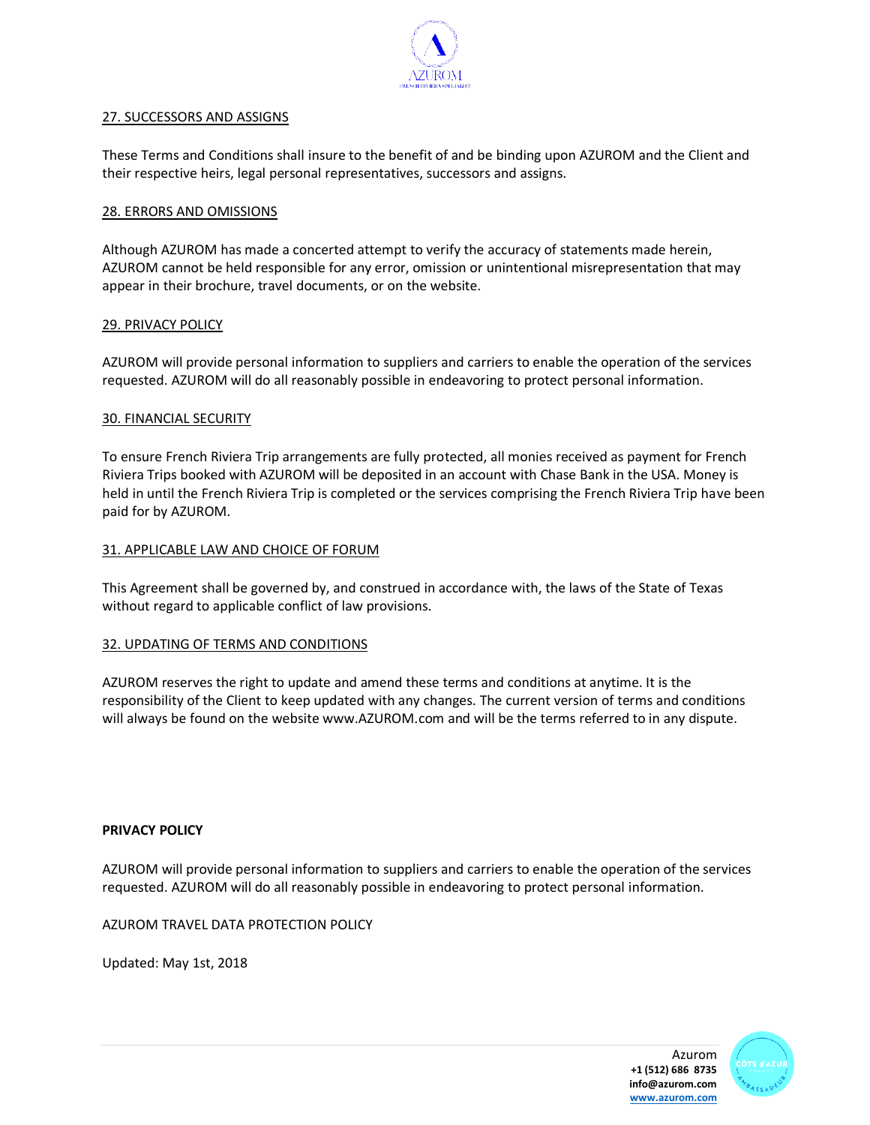

#### 27. SUCCESSORS AND ASSIGNS

These Terms and Conditions shall insure to the benefit of and be binding upon AZUROM and the Client and their respective heirs, legal personal representatives, successors and assigns.

## 28. ERRORS AND OMISSIONS

Although AZUROM has made a concerted attempt to verify the accuracy of statements made herein, AZUROM cannot be held responsible for any error, omission or unintentional misrepresentation that may appear in their brochure, travel documents, or on the website.

## 29. PRIVACY POLICY

AZUROM will provide personal information to suppliers and carriers to enable the operation of the services requested. AZUROM will do all reasonably possible in endeavoring to protect personal information.

## 30. FINANCIAL SECURITY

To ensure French Riviera Trip arrangements are fully protected, all monies received as payment for French Riviera Trips booked with AZUROM will be deposited in an account with Chase Bank in the USA. Money is held in until the French Riviera Trip is completed or the services comprising the French Riviera Trip have been paid for by AZUROM.

#### 31. APPLICABLE LAW AND CHOICE OF FORUM

This Agreement shall be governed by, and construed in accordance with, the laws of the State of Texas without regard to applicable conflict of law provisions.

#### 32. UPDATING OF TERMS AND CONDITIONS

AZUROM reserves the right to update and amend these terms and conditions at anytime. It is the responsibility of the Client to keep updated with any changes. The current version of terms and conditions will always be found on the website www.AZUROM.com and will be the terms referred to in any dispute.

#### **PRIVACY POLICY**

AZUROM will provide personal information to suppliers and carriers to enable the operation of the services requested. AZUROM will do all reasonably possible in endeavoring to protect personal information.

AZUROM TRAVEL DATA PROTECTION POLICY

Updated: May 1st, 2018

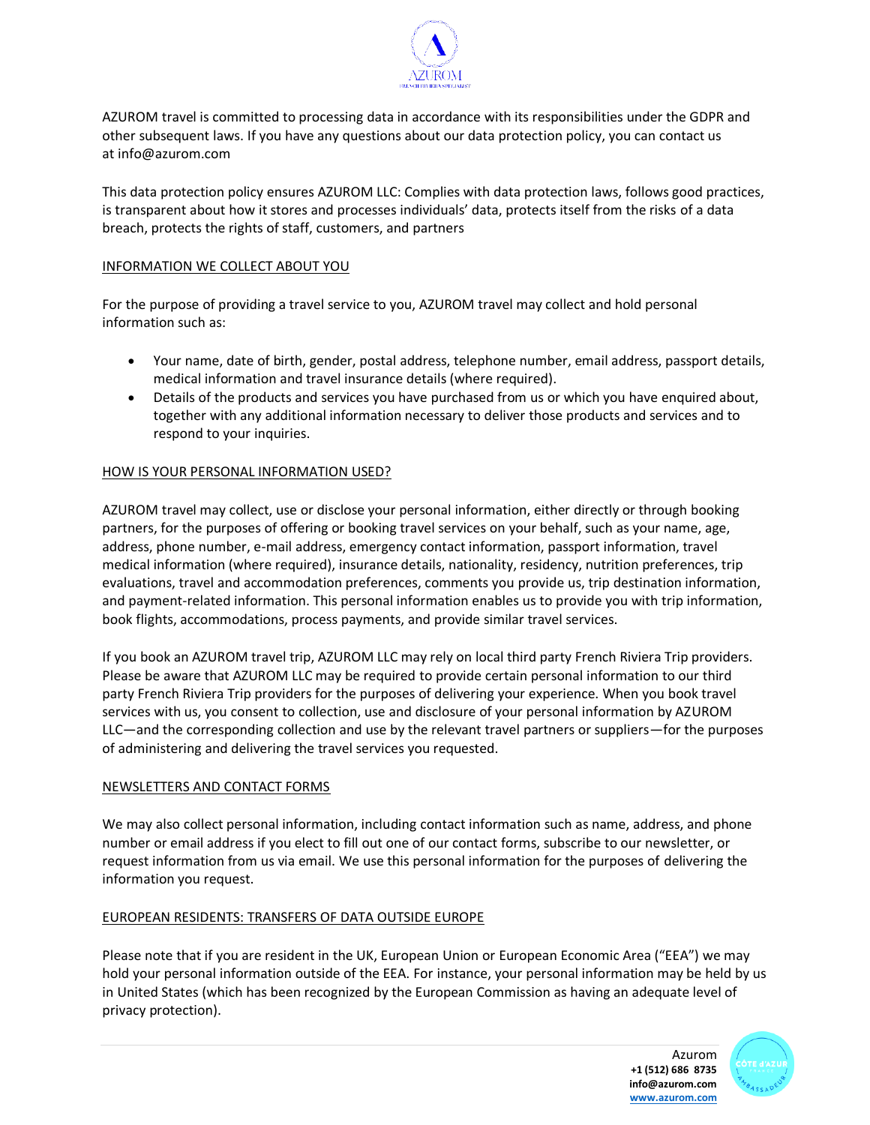

AZUROM travel is committed to processing data in accordance with its responsibilities under the GDPR and other subsequent laws. If you have any questions about our data protection policy, you can contact us at info@azurom.com

This data protection policy ensures AZUROM LLC: Complies with data protection laws, follows good practices, is transparent about how it stores and processes individuals' data, protects itself from the risks of a data breach, protects the rights of staff, customers, and partners

## INFORMATION WE COLLECT ABOUT YOU

For the purpose of providing a travel service to you, AZUROM travel may collect and hold personal information such as:

- Your name, date of birth, gender, postal address, telephone number, email address, passport details, medical information and travel insurance details (where required).
- Details of the products and services you have purchased from us or which you have enquired about, together with any additional information necessary to deliver those products and services and to respond to your inquiries.

## HOW IS YOUR PERSONAL INFORMATION USED?

AZUROM travel may collect, use or disclose your personal information, either directly or through booking partners, for the purposes of offering or booking travel services on your behalf, such as your name, age, address, phone number, e-mail address, emergency contact information, passport information, travel medical information (where required), insurance details, nationality, residency, nutrition preferences, trip evaluations, travel and accommodation preferences, comments you provide us, trip destination information, and payment-related information. This personal information enables us to provide you with trip information, book flights, accommodations, process payments, and provide similar travel services.

If you book an AZUROM travel trip, AZUROM LLC may rely on local third party French Riviera Trip providers. Please be aware that AZUROM LLC may be required to provide certain personal information to our third party French Riviera Trip providers for the purposes of delivering your experience. When you book travel services with us, you consent to collection, use and disclosure of your personal information by AZUROM LLC—and the corresponding collection and use by the relevant travel partners or suppliers—for the purposes of administering and delivering the travel services you requested.

#### NEWSLETTERS AND CONTACT FORMS

We may also collect personal information, including contact information such as name, address, and phone number or email address if you elect to fill out one of our contact forms, subscribe to our newsletter, or request information from us via email. We use this personal information for the purposes of delivering the information you request.

#### EUROPEAN RESIDENTS: TRANSFERS OF DATA OUTSIDE EUROPE

Please note that if you are resident in the UK, European Union or European Economic Area ("EEA") we may hold your personal information outside of the EEA. For instance, your personal information may be held by us in United States (which has been recognized by the European Commission as having an adequate level of privacy protection).

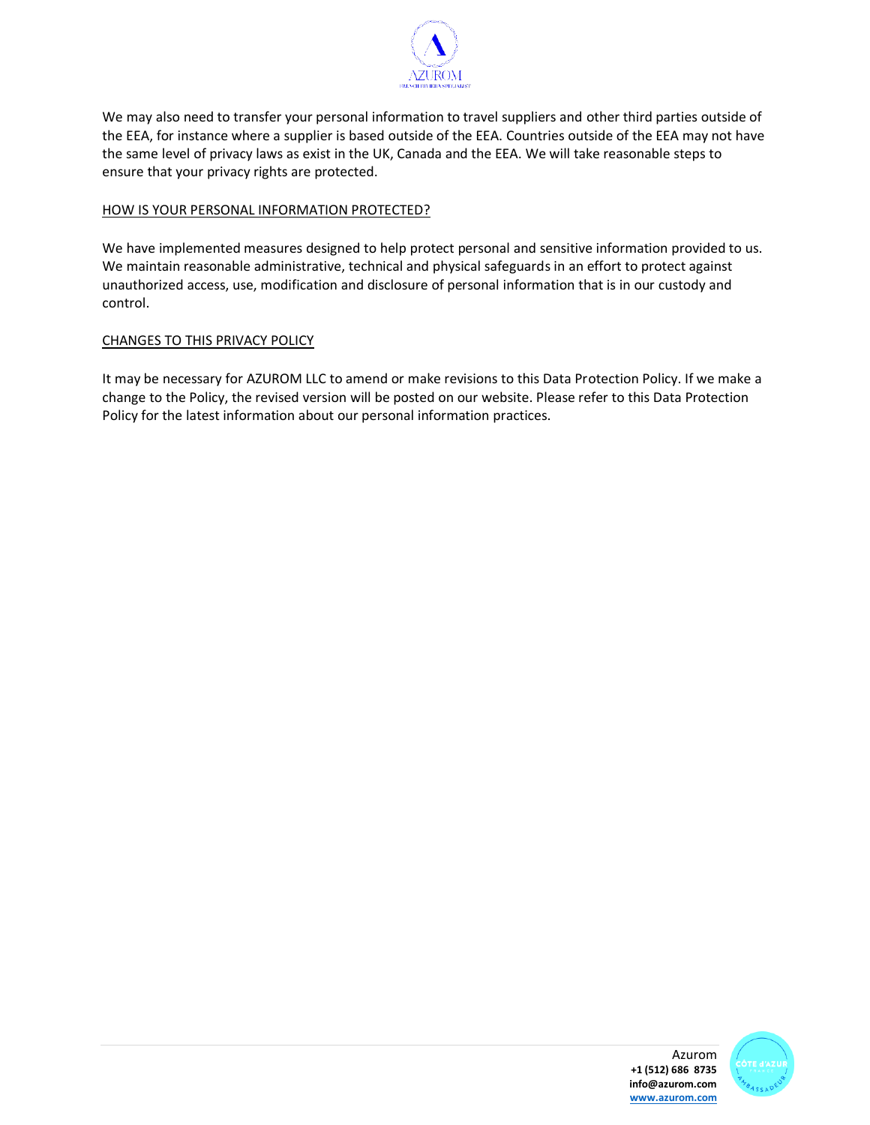

We may also need to transfer your personal information to travel suppliers and other third parties outside of the EEA, for instance where a supplier is based outside of the EEA. Countries outside of the EEA may not have the same level of privacy laws as exist in the UK, Canada and the EEA. We will take reasonable steps to ensure that your privacy rights are protected.

## HOW IS YOUR PERSONAL INFORMATION PROTECTED?

We have implemented measures designed to help protect personal and sensitive information provided to us. We maintain reasonable administrative, technical and physical safeguards in an effort to protect against unauthorized access, use, modification and disclosure of personal information that is in our custody and control.

## CHANGES TO THIS PRIVACY POLICY

It may be necessary for AZUROM LLC to amend or make revisions to this Data Protection Policy. If we make a change to the Policy, the revised version will be posted on our website. Please refer to this Data Protection Policy for the latest information about our personal information practices.

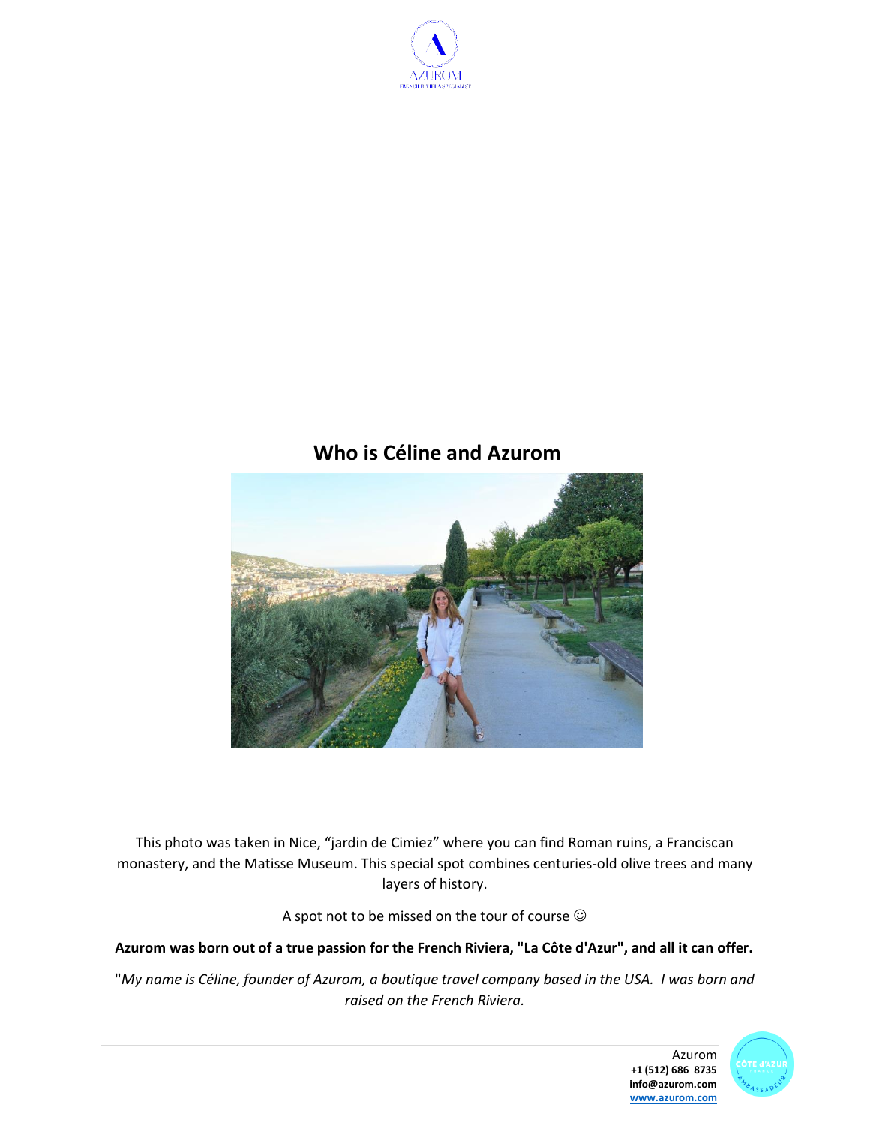

# **Who is Céline and Azurom**



This photo was taken in Nice, "jardin de Cimiez" where you can find Roman ruins, a Franciscan monastery, and the Matisse Museum. This special spot combines centuries-old olive trees and many layers of history.

A spot not to be missed on the tour of course  $\odot$ 

## **Azurom was born out of a true passion for the French Riviera, "La Côte d'Azur", and all it can offer.**

**"***My name is Céline, founder of Azurom, a boutique travel company based in the USA. I was born and raised on the French Riviera.*



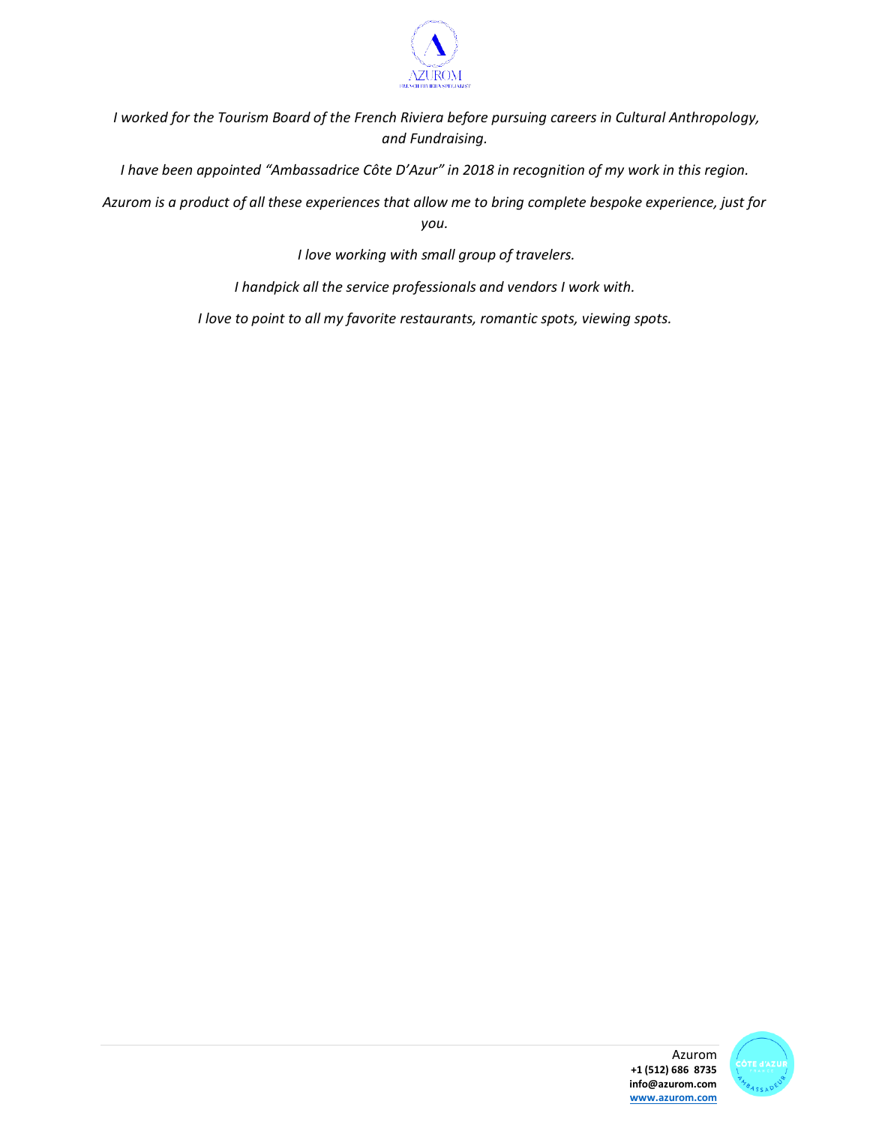

*I worked for the Tourism Board of the French Riviera before pursuing careers in Cultural Anthropology, and Fundraising.*

*I have been appointed "Ambassadrice Côte D'Azur" in 2018 in recognition of my work in this region.*

*Azurom is a product of all these experiences that allow me to bring complete bespoke experience, just for you.* 

*I love working with small group of travelers.*

*I handpick all the service professionals and vendors I work with.* 

*I love to point to all my favorite restaurants, romantic spots, viewing spots.*

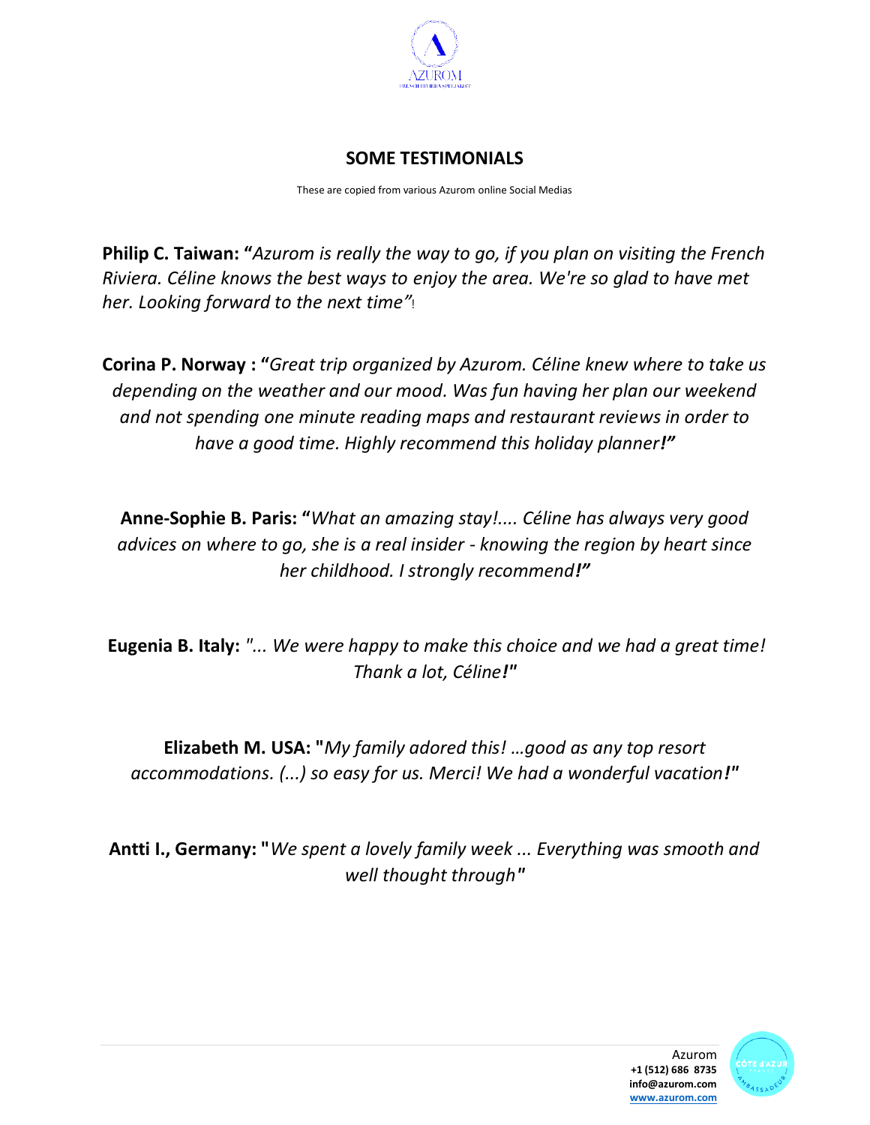

## **SOME TESTIMONIALS**

These are copied from various Azurom online Social Medias

**Philip C. Taiwan: "***Azurom is really the way to go, if you plan on visiting the French Riviera. Céline knows the best ways to enjoy the area. We're so glad to have met her. Looking forward to the next time"*!

**Corina P. Norway : "***Great trip organized by Azurom. Céline knew where to take us depending on the weather and our mood. Was fun having her plan our weekend and not spending one minute reading maps and restaurant reviews in order to have a good time. Highly recommend this holiday planner!"*

**Anne-Sophie B. Paris: "***What an amazing stay!.... Céline has always very good advices on where to go, she is a real insider - knowing the region by heart since her childhood. I strongly recommend!"*

**Eugenia B. Italy:** *"... We were happy to make this choice and we had a great time! Thank a lot, Céline!"*

**Elizabeth M. USA: "***My family adored this! …good as any top resort accommodations. (...) so easy for us. Merci! We had a wonderful vacation!"*

**Antti I., Germany: "***We spent a lovely family week ... Everything was smooth and well thought through"*